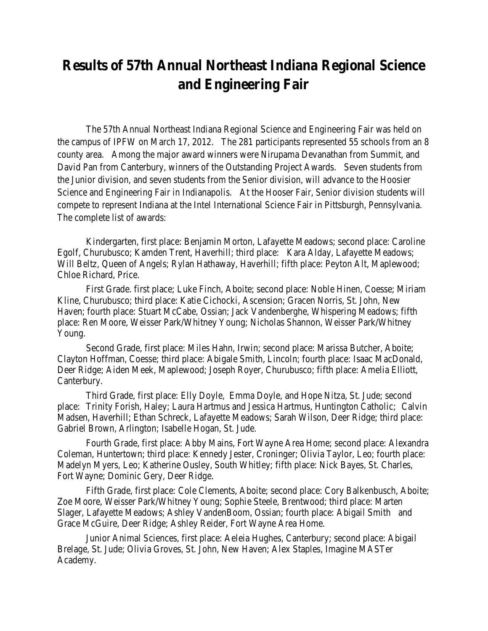## **Results of 57th Annual Northeast Indiana Regional Science and Engineering Fair**

The 57th Annual Northeast Indiana Regional Science and Engineering Fair was held on the campus of IPFW on March 17, 2012. The 281 participants represented 55 schools from an 8 county area. Among the major award winners were Nirupama Devanathan from Summit, and David Pan from Canterbury, winners of the Outstanding Project Awards. Seven students from the Junior division, and seven students from the Senior division, will advance to the Hoosier Science and Engineering Fair in Indianapolis. At the Hooser Fair, Senior division students will compete to represent Indiana at the Intel International Science Fair in Pittsburgh, Pennsylvania. The complete list of awards:

Kindergarten, first place: Benjamin Morton, Lafayette Meadows; second place: Caroline Egolf, Churubusco; Kamden Trent, Haverhill; third place: Kara Alday, Lafayette Meadows; Will Beltz, Queen of Angels; Rylan Hathaway, Haverhill; fifth place: Peyton Alt, Maplewood; Chloe Richard, Price.

First Grade. first place; Luke Finch, Aboite; second place: Noble Hinen, Coesse; Miriam Kline, Churubusco; third place: Katie Cichocki, Ascension; Gracen Norris, St. John, New Haven; fourth place: Stuart McCabe, Ossian; Jack Vandenberghe, Whispering Meadows; fifth place: Ren Moore, Weisser Park/Whitney Young; Nicholas Shannon, Weisser Park/Whitney Young.

Second Grade, first place: Miles Hahn, Irwin; second place: Marissa Butcher, Aboite; Clayton Hoffman, Coesse; third place: Abigale Smith, Lincoln; fourth place: Isaac MacDonald, Deer Ridge; Aiden Meek, Maplewood; Joseph Royer, Churubusco; fifth place: Amelia Elliott, Canterbury.

Third Grade, first place: Elly Doyle, Emma Doyle, and Hope Nitza, St. Jude; second place: Trinity Forish, Haley; Laura Hartmus and Jessica Hartmus, Huntington Catholic; Calvin Madsen, Haverhill; Ethan Schreck, Lafayette Meadows; Sarah Wilson, Deer Ridge; third place: Gabriel Brown, Arlington; Isabelle Hogan, St. Jude.

Fourth Grade, first place: Abby Mains, Fort Wayne Area Home; second place: Alexandra Coleman, Huntertown; third place: Kennedy Jester, Croninger; Olivia Taylor, Leo; fourth place: Madelyn Myers, Leo; Katherine Ousley, South Whitley; fifth place: Nick Bayes, St. Charles, Fort Wayne; Dominic Gery, Deer Ridge.

Fifth Grade, first place: Cole Clements, Aboite; second place: Cory Balkenbusch, Aboite; Zoe Moore, Weisser Park/Whitney Young; Sophie Steele, Brentwood; third place: Marten Slager, Lafayette Meadows; Ashley VandenBoom, Ossian; fourth place: Abigail Smith and Grace McGuire, Deer Ridge; Ashley Reider, Fort Wayne Area Home.

Junior Animal Sciences, first place: Aeleia Hughes, Canterbury; second place: Abigail Brelage, St. Jude; Olivia Groves, St. John, New Haven; Alex Staples, Imagine MASTer Academy.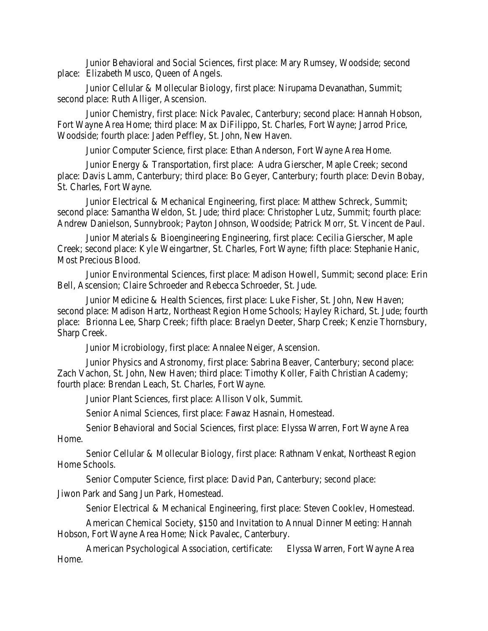Junior Behavioral and Social Sciences, first place: Mary Rumsey, Woodside; second place: Elizabeth Musco, Queen of Angels.

Junior Cellular & Mollecular Biology, first place: Nirupama Devanathan, Summit; second place: Ruth Alliger, Ascension.

Junior Chemistry, first place: Nick Pavalec, Canterbury; second place: Hannah Hobson, Fort Wayne Area Home; third place: Max DiFilippo, St. Charles, Fort Wayne; Jarrod Price, Woodside; fourth place: Jaden Peffley, St. John, New Haven.

Junior Computer Science, first place: Ethan Anderson, Fort Wayne Area Home.

Junior Energy & Transportation, first place: Audra Gierscher, Maple Creek; second place: Davis Lamm, Canterbury; third place: Bo Geyer, Canterbury; fourth place: Devin Bobay, St. Charles, Fort Wayne.

Junior Electrical & Mechanical Engineering, first place: Matthew Schreck, Summit; second place: Samantha Weldon, St. Jude; third place: Christopher Lutz, Summit; fourth place: Andrew Danielson, Sunnybrook; Payton Johnson, Woodside; Patrick Morr, St. Vincent de Paul.

Junior Materials & Bioengineering Engineering, first place: Cecilia Gierscher, Maple Creek; second place: Kyle Weingartner, St. Charles, Fort Wayne; fifth place: Stephanie Hanic, Most Precious Blood.

Junior Environmental Sciences, first place: Madison Howell, Summit; second place: Erin Bell, Ascension; Claire Schroeder and Rebecca Schroeder, St. Jude.

Junior Medicine & Health Sciences, first place: Luke Fisher, St. John, New Haven; second place: Madison Hartz, Northeast Region Home Schools; Hayley Richard, St. Jude; fourth place: Brionna Lee, Sharp Creek; fifth place: Braelyn Deeter, Sharp Creek; Kenzie Thornsbury, Sharp Creek.

Junior Microbiology, first place: Annalee Neiger, Ascension.

Junior Physics and Astronomy, first place: Sabrina Beaver, Canterbury; second place: Zach Vachon, St. John, New Haven; third place: Timothy Koller, Faith Christian Academy; fourth place: Brendan Leach, St. Charles, Fort Wayne.

Junior Plant Sciences, first place: Allison Volk, Summit.

Senior Animal Sciences, first place: Fawaz Hasnain, Homestead.

Senior Behavioral and Social Sciences, first place: Elyssa Warren, Fort Wayne Area Home.

Senior Cellular & Mollecular Biology, first place: Rathnam Venkat, Northeast Region Home Schools.

Senior Computer Science, first place: David Pan, Canterbury; second place:

Jiwon Park and Sang Jun Park, Homestead.

Senior Electrical & Mechanical Engineering, first place: Steven Cooklev, Homestead.

American Chemical Society, \$150 and Invitation to Annual Dinner Meeting: Hannah Hobson, Fort Wayne Area Home; Nick Pavalec, Canterbury.

American Psychological Association, certificate: Elyssa Warren, Fort Wayne Area Home.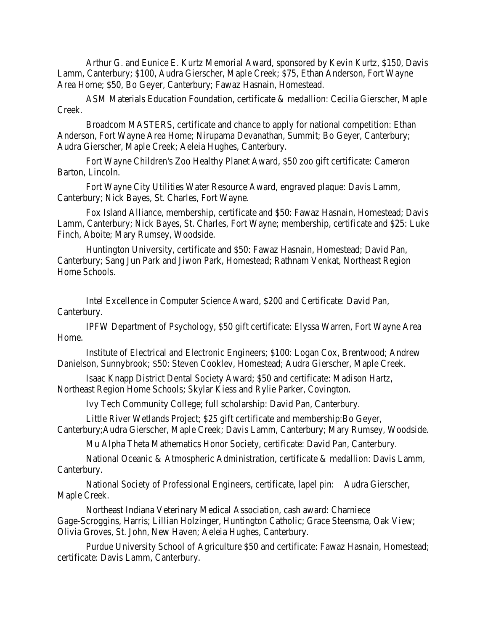Arthur G. and Eunice E. Kurtz Memorial Award, sponsored by Kevin Kurtz, \$150, Davis Lamm, Canterbury; \$100, Audra Gierscher, Maple Creek; \$75, Ethan Anderson, Fort Wayne Area Home; \$50, Bo Geyer, Canterbury; Fawaz Hasnain, Homestead.

ASM Materials Education Foundation, certificate & medallion: Cecilia Gierscher, Maple Creek.

Broadcom MASTERS, certificate and chance to apply for national competition: Ethan Anderson, Fort Wayne Area Home; Nirupama Devanathan, Summit; Bo Geyer, Canterbury; Audra Gierscher, Maple Creek; Aeleia Hughes, Canterbury.

Fort Wayne Children's Zoo Healthy Planet Award, \$50 zoo gift certificate: Cameron Barton, Lincoln.

Fort Wayne City Utilities Water Resource Award, engraved plaque: Davis Lamm, Canterbury; Nick Bayes, St. Charles, Fort Wayne.

Fox Island Alliance, membership, certificate and \$50: Fawaz Hasnain, Homestead; Davis Lamm, Canterbury; Nick Bayes, St. Charles, Fort Wayne; membership, certificate and \$25: Luke Finch, Aboite; Mary Rumsey, Woodside.

Huntington University, certificate and \$50: Fawaz Hasnain, Homestead; David Pan, Canterbury; Sang Jun Park and Jiwon Park, Homestead; Rathnam Venkat, Northeast Region Home Schools.

Intel Excellence in Computer Science Award, \$200 and Certificate: David Pan, Canterbury.

IPFW Department of Psychology, \$50 gift certificate: Elyssa Warren, Fort Wayne Area Home.

Institute of Electrical and Electronic Engineers; \$100: Logan Cox, Brentwood; Andrew Danielson, Sunnybrook; \$50: Steven Cooklev, Homestead; Audra Gierscher, Maple Creek.

Isaac Knapp District Dental Society Award; \$50 and certificate: Madison Hartz, Northeast Region Home Schools; Skylar Kiess and Rylie Parker, Covington.

Ivy Tech Community College; full scholarship: David Pan, Canterbury.

Little River Wetlands Project; \$25 gift certificate and membership:Bo Geyer, Canterbury;Audra Gierscher, Maple Creek; Davis Lamm, Canterbury; Mary Rumsey, Woodside.

Mu Alpha Theta Mathematics Honor Society, certificate: David Pan, Canterbury.

National Oceanic & Atmospheric Administration, certificate & medallion: Davis Lamm, Canterbury.

National Society of Professional Engineers, certificate, lapel pin: Audra Gierscher, Maple Creek.

Northeast Indiana Veterinary Medical Association, cash award: Charniece Gage-Scroggins, Harris; Lillian Holzinger, Huntington Catholic; Grace Steensma, Oak View; Olivia Groves, St. John, New Haven; Aeleia Hughes, Canterbury.

Purdue University School of Agriculture \$50 and certificate: Fawaz Hasnain, Homestead; certificate: Davis Lamm, Canterbury.